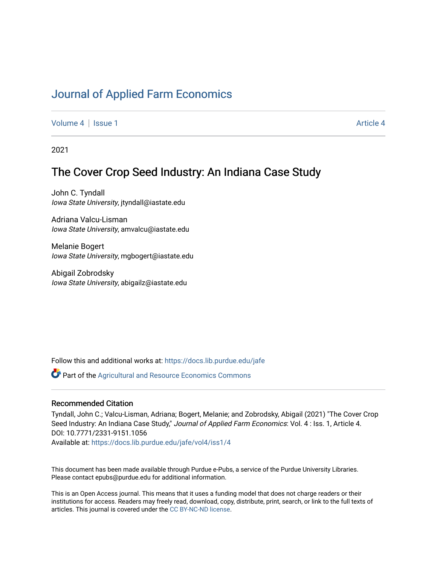# [Journal of Applied Farm Economics](https://docs.lib.purdue.edu/jafe)

[Volume 4](https://docs.lib.purdue.edu/jafe/vol4) | [Issue 1](https://docs.lib.purdue.edu/jafe/vol4/iss1) [Article 4](https://docs.lib.purdue.edu/jafe/vol4/iss1/4) | Article 4 Article 4 | Article 4 Article 4 | Article 4 | Article 4 | Article 4 |

2021

# The Cover Crop Seed Industry: An Indiana Case Study

John C. Tyndall Iowa State University, jtyndall@iastate.edu

Adriana Valcu-Lisman Iowa State University, amvalcu@iastate.edu

Melanie Bogert Iowa State University, mgbogert@iastate.edu

Abigail Zobrodsky Iowa State University, abigailz@iastate.edu

Follow this and additional works at: [https://docs.lib.purdue.edu/jafe](https://docs.lib.purdue.edu/jafe?utm_source=docs.lib.purdue.edu%2Fjafe%2Fvol4%2Fiss1%2F4&utm_medium=PDF&utm_campaign=PDFCoverPages)

Part of the [Agricultural and Resource Economics Commons](http://network.bepress.com/hgg/discipline/317?utm_source=docs.lib.purdue.edu%2Fjafe%2Fvol4%2Fiss1%2F4&utm_medium=PDF&utm_campaign=PDFCoverPages) 

#### Recommended Citation

Tyndall, John C.; Valcu-Lisman, Adriana; Bogert, Melanie; and Zobrodsky, Abigail (2021) "The Cover Crop Seed Industry: An Indiana Case Study," Journal of Applied Farm Economics: Vol. 4 : Iss. 1, Article 4. DOI: 10.7771/2331-9151.1056

Available at: [https://docs.lib.purdue.edu/jafe/vol4/iss1/4](https://docs.lib.purdue.edu/jafe/vol4/iss1/4?utm_source=docs.lib.purdue.edu%2Fjafe%2Fvol4%2Fiss1%2F4&utm_medium=PDF&utm_campaign=PDFCoverPages)

This document has been made available through Purdue e-Pubs, a service of the Purdue University Libraries. Please contact epubs@purdue.edu for additional information.

This is an Open Access journal. This means that it uses a funding model that does not charge readers or their institutions for access. Readers may freely read, download, copy, distribute, print, search, or link to the full texts of articles. This journal is covered under the [CC BY-NC-ND license](https://creativecommons.org/licenses/by-nc-nd/4.0/).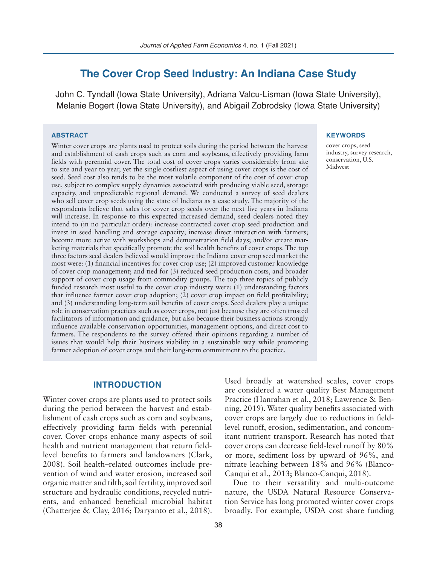# **The Cover Crop Seed Industry: An Indiana Case Study**

John C. Tyndall (Iowa State University), Adriana Valcu-Lisman (Iowa State University), Melanie Bogert (Iowa State University), and Abigail Zobrodsky (Iowa State University)

#### **ABSTRACT**

Winter cover crops are plants used to protect soils during the period between the harvest and establishment of cash crops such as corn and soybeans, effectively providing farm fields with perennial cover. The total cost of cover crops varies considerably from site to site and year to year, yet the single costliest aspect of using cover crops is the cost of seed. Seed cost also tends to be the most volatile component of the cost of cover crop use, subject to complex supply dynamics associated with producing viable seed, storage capacity, and unpredictable regional demand. We conducted a survey of seed dealers who sell cover crop seeds using the state of Indiana as a case study. The majority of the respondents believe that sales for cover crop seeds over the next five years in Indiana will increase. In response to this expected increased demand, seed dealers noted they intend to (in no particular order): increase contracted cover crop seed production and invest in seed handling and storage capacity; increase direct interaction with farmers; become more active with workshops and demonstration field days; and/or create marketing materials that specifically promote the soil health benefits of cover crops. The top three factors seed dealers believed would improve the Indiana cover crop seed market the most were: (1) financial incentives for cover crop use; (2) improved customer knowledge of cover crop management; and tied for (3) reduced seed production costs, and broader support of cover crop usage from commodity groups. The top three topics of publicly funded research most useful to the cover crop industry were: (1) understanding factors that influence farmer cover crop adoption; (2) cover crop impact on field profitability; and (3) understanding long-term soil benefits of cover crops. Seed dealers play a unique role in conservation practices such as cover crops, not just because they are often trusted facilitators of information and guidance, but also because their business actions strongly influence available conservation opportunities, management options, and direct cost to farmers. The respondents to the survey offered their opinions regarding a number of issues that would help their business viability in a sustainable way while promoting farmer adoption of cover crops and their long-term commitment to the practice.

#### **KEYWORDS**

cover crops, seed industry, survey research, conservation, U.S. Midwest

## **INTRODUCTION**

Winter cover crops are plants used to protect soils during the period between the harvest and establishment of cash crops such as corn and soybeans, effectively providing farm fields with perennial cover. Cover crops enhance many aspects of soil health and nutrient management that return fieldlevel benefits to farmers and landowners (Clark, 2008). Soil health–related outcomes include prevention of wind and water erosion, increased soil organic matter and tilth, soil fertility, improved soil structure and hydraulic conditions, recycled nutrients, and enhanced beneficial microbial habitat (Chatterjee & Clay, 2016; Daryanto et al., 2018).

Used broadly at watershed scales, cover crops are considered a water quality Best Management Practice (Hanrahan et al., 2018; Lawrence & Benning, 2019). Water quality benefits associated with cover crops are largely due to reductions in fieldlevel runoff, erosion, sedimentation, and concomitant nutrient transport. Research has noted that cover crops can decrease field-level runoff by 80% or more, sediment loss by upward of 96%, and nitrate leaching between 18% and 96% (Blanco-Canqui et al., 2013; Blanco-Canqui, 2018).

Due to their versatility and multi-outcome nature, the USDA Natural Resource Conservation Service has long promoted winter cover crops broadly. For example, USDA cost share funding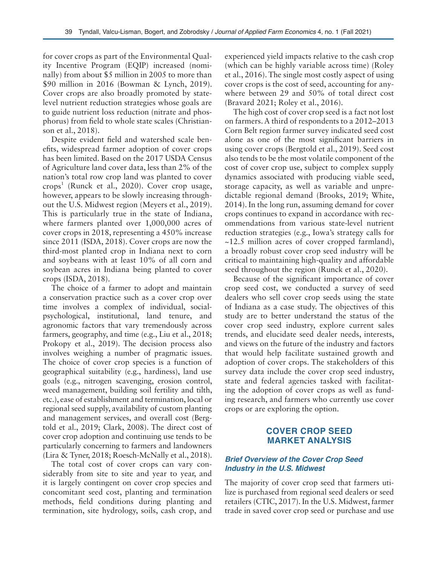for cover crops as part of the Environmental Quality Incentive Program (EQIP) increased (nominally) from about \$5 million in 2005 to more than \$90 million in 2016 (Bowman & Lynch, 2019). Cover crops are also broadly promoted by statelevel nutrient reduction strategies whose goals are to guide nutrient loss reduction (nitrate and phosphorus) from field to whole state scales (Christianson et al., 2018).

Despite evident field and watershed scale benefits, widespread farmer adoption of cover crops has been limited. Based on the 2017 USDA Census of Agriculture land cover data, less than 2% of the nation's total row crop land was planted to cover crops<sup>1</sup> (Runck et al., 2020). Cover crop usage, however, appears to be slowly increasing throughout the U.S. Midwest region (Meyers et al., 2019). This is particularly true in the state of Indiana, where farmers planted over 1,000,000 acres of cover crops in 2018, representing a 450% increase since 2011 (ISDA, 2018). Cover crops are now the third-most planted crop in Indiana next to corn and soybeans with at least 10% of all corn and soybean acres in Indiana being planted to cover crops (ISDA, 2018).

The choice of a farmer to adopt and maintain a conservation practice such as a cover crop over time involves a complex of individual, socialpsychological, institutional, land tenure, and agronomic factors that vary tremendously across farmers, geography, and time (e.g., Liu et al., 2018; Prokopy et al., 2019). The decision process also involves weighing a number of pragmatic issues. The choice of cover crop species is a function of geographical suitability (e.g., hardiness), land use goals (e.g., nitrogen scavenging, erosion control, weed management, building soil fertility and tilth, etc.), ease of establishment and termination, local or regional seed supply, availability of custom planting and management services, and overall cost (Bergtold et al., 2019; Clark, 2008). The direct cost of cover crop adoption and continuing use tends to be particularly concerning to farmers and landowners (Lira & Tyner, 2018; Roesch-McNally et al., 2018).

The total cost of cover crops can vary considerably from site to site and year to year, and it is largely contingent on cover crop species and concomitant seed cost, planting and termination methods, field conditions during planting and termination, site hydrology, soils, cash crop, and experienced yield impacts relative to the cash crop (which can be highly variable across time) (Roley et al., 2016). The single most costly aspect of using cover crops is the cost of seed, accounting for anywhere between 29 and 50% of total direct cost (Bravard 2021; Roley et al., 2016).

The high cost of cover crop seed is a fact not lost on farmers. A third of respondents to a 2012–2013 Corn Belt region farmer survey indicated seed cost alone as one of the most significant barriers in using cover crops (Bergtold et al., 2019). Seed cost also tends to be the most volatile component of the cost of cover crop use, subject to complex supply dynamics associated with producing viable seed, storage capacity, as well as variable and unpredictable regional demand (Brooks, 2019; White, 2014). In the long run, assuming demand for cover crops continues to expand in accordance with recommendations from various state-level nutrient reduction strategies (e.g., Iowa's strategy calls for ~12.5 million acres of cover cropped farmland), a broadly robust cover crop seed industry will be critical to maintaining high-quality and affordable seed throughout the region (Runck et al., 2020).

Because of the significant importance of cover crop seed cost, we conducted a survey of seed dealers who sell cover crop seeds using the state of Indiana as a case study. The objectives of this study are to better understand the status of the cover crop seed industry, explore current sales trends, and elucidate seed dealer needs, interests, and views on the future of the industry and factors that would help facilitate sustained growth and adoption of cover crops. The stakeholders of this survey data include the cover crop seed industry, state and federal agencies tasked with facilitating the adoption of cover crops as well as funding research, and farmers who currently use cover crops or are exploring the option.

# **COVER CROP SEED MARKET ANALYSIS**

# *Brief Overview of the Cover Crop Seed*  **Industry in the U.S. Midwest**

The majority of cover crop seed that farmers utilize is purchased from regional seed dealers or seed retailers (CTIC, 2017). In the U.S. Midwest, farmer trade in saved cover crop seed or purchase and use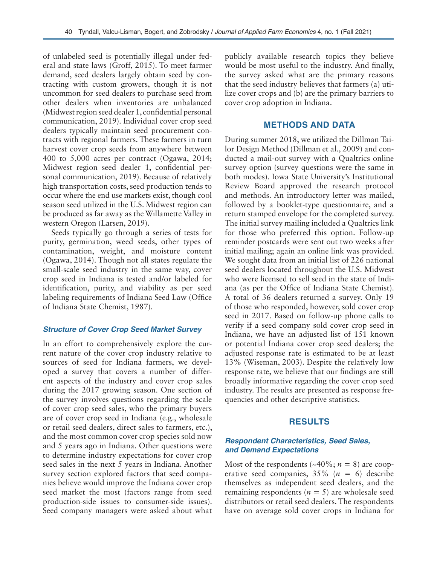of unlabeled seed is potentially illegal under federal and state laws (Groff, 2015). To meet farmer demand, seed dealers largely obtain seed by contracting with custom growers, though it is not uncommon for seed dealers to purchase seed from other dealers when inventories are unbalanced (Midwest region seed dealer 1, confidential personal communication, 2019). Individual cover crop seed dealers typically maintain seed procurement contracts with regional farmers. These farmers in turn harvest cover crop seeds from anywhere between 400 to 5,000 acres per contract (Ogawa, 2014; Midwest region seed dealer 1, confidential personal communication, 2019). Because of relatively high transportation costs, seed production tends to occur where the end use markets exist, though cool season seed utilized in the U.S. Midwest region can be produced as far away as the Willamette Valley in western Oregon (Larsen, 2019).

Seeds typically go through a series of tests for purity, germination, weed seeds, other types of contamination, weight, and moisture content (Ogawa, 2014). Though not all states regulate the small-scale seed industry in the same way, cover crop seed in Indiana is tested and/or labeled for identification, purity, and viability as per seed labeling requirements of Indiana Seed Law (Office of Indiana State Chemist, 1987).

# **Structure of Cover Crop Seed Market Survey**

In an effort to comprehensively explore the current nature of the cover crop industry relative to sources of seed for Indiana farmers, we developed a survey that covers a number of different aspects of the industry and cover crop sales during the 2017 growing season. One section of the survey involves questions regarding the scale of cover crop seed sales, who the primary buyers are of cover crop seed in Indiana (e.g., wholesale or retail seed dealers, direct sales to farmers, etc.), and the most common cover crop species sold now and 5 years ago in Indiana. Other questions were to determine industry expectations for cover crop seed sales in the next 5 years in Indiana. Another survey section explored factors that seed companies believe would improve the Indiana cover crop seed market the most (factors range from seed production-side issues to consumer-side issues). Seed company managers were asked about what

publicly available research topics they believe would be most useful to the industry. And finally, the survey asked what are the primary reasons that the seed industry believes that farmers (a) utilize cover crops and (b) are the primary barriers to cover crop adoption in Indiana.

# **METHODS AND DATA**

During summer 2018, we utilized the Dillman Tailor Design Method (Dillman et al., 2009) and conducted a mail-out survey with a Qualtrics online survey option (survey questions were the same in both modes). Iowa State University's Institutional Review Board approved the research protocol and methods. An introductory letter was mailed, followed by a booklet-type questionnaire, and a return stamped envelope for the completed survey. The initial survey mailing included a Qualtrics link for those who preferred this option. Follow-up reminder postcards were sent out two weeks after initial mailing; again an online link was provided. We sought data from an initial list of 226 national seed dealers located throughout the U.S. Midwest who were licensed to sell seed in the state of Indiana (as per the Office of Indiana State Chemist). A total of 36 dealers returned a survey. Only 19 of those who responded, however, sold cover crop seed in 2017. Based on follow-up phone calls to verify if a seed company sold cover crop seed in Indiana, we have an adjusted list of 151 known or potential Indiana cover crop seed dealers; the adjusted response rate is estimated to be at least 13% (Wiseman, 2003). Despite the relatively low response rate, we believe that our findings are still broadly informative regarding the cover crop seed industry. The results are presented as response frequencies and other descriptive statistics.

# **RESULTS**

# *Respondent Characteristics, Seed Sales, and Demand Expectations*

Most of the respondents  $(\sim 40\%; n = 8)$  are cooperative seed companies, 35% (*n* = 6) describe themselves as independent seed dealers, and the remaining respondents (*n* = 5) are wholesale seed distributors or retail seed dealers. The respondents have on average sold cover crops in Indiana for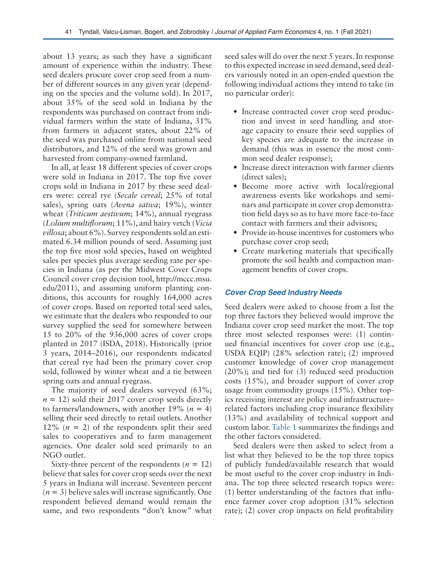about 13 years; as such they have a significant amount of experience within the industry. These seed dealers procure cover crop seed from a number of different sources in any given year (depending on the species and the volume sold). In 2017, about 35% of the seed sold in Indiana by the respondents was purchased on contract from individual farmers within the state of Indiana, 31% from farmers in adjacent states, about 22% of the seed was purchased online from national seed distributors, and 12% of the seed was grown and harvested from company-owned farmland.

In all, at least 18 different species of cover crops were sold in Indiana in 2017. The top five cover crops sold in Indiana in 2017 by these seed dealers were: cereal rye (*Secale cereal*; 25% of total sales), spring oats (*Avena sativa*; 19%), winter wheat (*Triticum aestivum*; 14%), annual ryegrass (*Lolium multiflorum*; 11%), and hairy vetch (*Vicia villosa*; about 6%). Survey respondents sold an estimated 6.34 million pounds of seed. Assuming just the top five most sold species, based on weighted sales per species plus average seeding rate per species in Indiana (as per the Midwest Cover Crops Council cover crop decision tool, http://mccc.msu. edu/2011), and assuming uniform planting conditions, this accounts for roughly 164,000 acres of cover crops. Based on reported total seed sales, we estimate that the dealers who responded to our survey supplied the seed for somewhere between 15 to 20% of the 936,000 acres of cover crops planted in 2017 (ISDA, 2018). Historically (prior 3 years, 2014–2016), our respondents indicated that cereal rye had been the primary cover crop sold, followed by winter wheat and a tie between spring oats and annual ryegrass.

The majority of seed dealers surveyed (63%;  $n = 12$ ) sold their 2017 cover crop seeds directly to farmers/landowners, with another  $19\%$  ( $n = 4$ ) selling their seed directly to retail outlets. Another 12%  $(n = 2)$  of the respondents split their seed sales to cooperatives and to farm management agencies. One dealer sold seed primarily to an NGO outlet.

Sixty-three percent of the respondents  $(n = 12)$ believe that sales for cover crop seeds over the next 5 years in Indiana will increase. Seventeen percent  $(n = 3)$  believe sales will increase significantly. One respondent believed demand would remain the same, and two respondents "don't know" what

seed sales will do over the next 5 years. In response to this expected increase in seed demand, seed dealers variously noted in an open-ended question the following individual actions they intend to take (in no particular order):

- Increase contracted cover crop seed production and invest in seed handling and storage capacity to ensure their seed supplies of key species are adequate to the increase in demand (this was in essence the most common seed dealer response);
- Increase direct interaction with farmer clients (direct sales);
- Become more active with local/regional awareness events like workshops and seminars and participate in cover crop demonstration field days so as to have more face-to-face contact with farmers and their advisors;
- Provide in-house incentives for customers who purchase cover crop seed;
- Create marketing materials that specifically promote the soil health and compaction management benefits of cover crops.

# *Cover Crop Seed Industry Needs*

Seed dealers were asked to choose from a list the top three factors they believed would improve the Indiana cover crop seed market the most. The top three most selected responses were: (1) continued financial incentives for cover crop use (e.g., USDA EQIP) (28% selection rate); (2) improved customer knowledge of cover crop management (20%); and tied for (3) reduced seed production costs (15%), and broader support of cover crop usage from commodity groups (15%). Other topics receiving interest are policy and infrastructure– related factors including crop insurance flexibility (13%) and availability of technical support and custom labor. Table 1 summarizes the findings and the other factors considered.

Seed dealers were then asked to select from a list what they believed to be the top three topics of publicly funded/available research that would be most useful to the cover crop industry in Indiana. The top three selected research topics were: (1) better understanding of the factors that influence farmer cover crop adoption (31% selection rate); (2) cover crop impacts on field profitability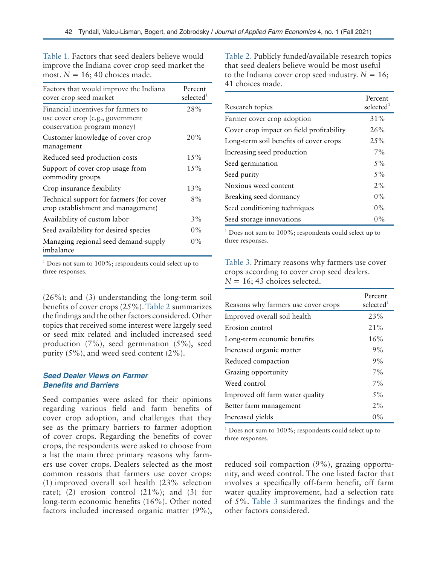Table 1. Factors that seed dealers believe would improve the Indiana cover crop seed market the most.  $N = 16$ ; 40 choices made.

| Factors that would improve the Indiana<br>cover crop seed market                                       | Percent<br>selected <sup>1</sup> |
|--------------------------------------------------------------------------------------------------------|----------------------------------|
| Financial incentives for farmers to<br>use cover crop (e.g., government<br>conservation program money) | 28%                              |
| Customer knowledge of cover crop<br>management                                                         | 20%                              |
| Reduced seed production costs                                                                          | 15%                              |
| Support of cover crop usage from<br>commodity groups                                                   | 15%                              |
| Crop insurance flexibility                                                                             | 13%                              |
| Technical support for farmers (for cover<br>crop establishment and management)                         | 8%                               |
| Availability of custom labor                                                                           | $3\%$                            |
| Seed availability for desired species                                                                  | $0\%$                            |
| Managing regional seed demand-supply<br>imbalance                                                      | $0\%$                            |

 $1$  Does not sum to 100%; respondents could select up to three responses.

(26%); and (3) understanding the long-term soil benefits of cover crops (25%). Table 2 summarizes the findings and the other factors considered. Other topics that received some interest were largely seed or seed mix related and included increased seed production (7%), seed germination (5%), seed purity (5%), and weed seed content (2%).

### *Seed Dealer Views on Farmer*  **Benefits and Barriers**

Seed companies were asked for their opinions regarding various field and farm benefits of cover crop adoption, and challenges that they see as the primary barriers to farmer adoption of cover crops. Regarding the benefits of cover crops, the respondents were asked to choose from a list the main three primary reasons why farmers use cover crops. Dealers selected as the most common reasons that farmers use cover crops: (1) improved overall soil health (23% selection rate); (2) erosion control  $(21\%)$ ; and  $(3)$  for long-term economic benefits (16%). Other noted factors included increased organic matter (9%), Table 2. Publicly funded/available research topics that seed dealers believe would be most useful to the Indiana cover crop seed industry.  $N = 16$ ; 41 choices made.

| Research topics                          | Percent<br>selected <sup>1</sup> |
|------------------------------------------|----------------------------------|
| Farmer cover crop adoption               | $31\%$                           |
| Cover crop impact on field profitability | 26%                              |
| Long-term soil benefits of cover crops   | $2.5\%$                          |
| Increasing seed production               | $7\%$                            |
| Seed germination                         | $5\%$                            |
| Seed purity                              | $5\%$                            |
| Noxious weed content                     | 2%                               |
| Breaking seed dormancy                   | $0\%$                            |
| Seed conditioning techniques             | $0\%$                            |
| Seed storage innovations                 | $0\%$                            |

 $1$  Does not sum to 100%; respondents could select up to three responses.

Table 3. Primary reasons why farmers use cover crops according to cover crop seed dealers.  $N = 16$ ; 43 choices selected.

| Reasons why farmers use cover crops | Percent<br>selected <sup>1</sup> |
|-------------------------------------|----------------------------------|
| Improved overall soil health        | 23%                              |
| Erosion control                     | 21%                              |
| Long-term economic benefits         | 16%                              |
| Increased organic matter            | 9%                               |
| Reduced compaction                  | 9%                               |
| Grazing opportunity                 | 7%                               |
| Weed control                        | 7%                               |
| Improved off farm water quality     | 5%                               |
| Better farm management              | 2%                               |
| Increased yields                    | $0\%$                            |

 $1$  Does not sum to 100%; respondents could select up to three responses.

reduced soil compaction (9%), grazing opportunity, and weed control. The one listed factor that involves a specifically off-farm benefit, off farm water quality improvement, had a selection rate of 5%. Table 3 summarizes the findings and the other factors considered.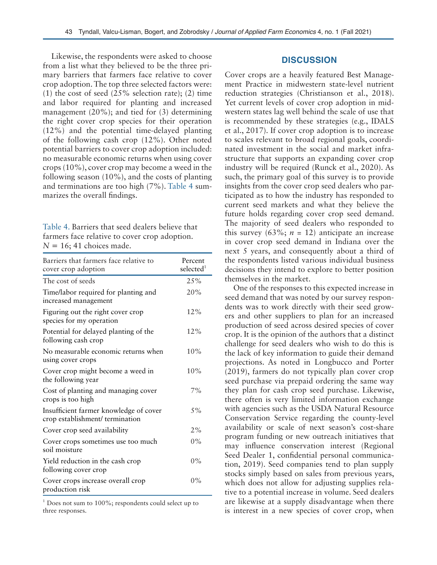Likewise, the respondents were asked to choose from a list what they believed to be the three primary barriers that farmers face relative to cover crop adoption. The top three selected factors were: (1) the cost of seed  $(25\%$  selection rate); (2) time and labor required for planting and increased management (20%); and tied for (3) determining the right cover crop species for their operation (12%) and the potential time-delayed planting of the following cash crop (12%). Other noted potential barriers to cover crop adoption included: no measurable economic returns when using cover crops (10%), cover crop may become a weed in the following season (10%), and the costs of planting and terminations are too high (7%). Table 4 summarizes the overall findings.

| Table 4. Barriers that seed dealers believe that |
|--------------------------------------------------|
| farmers face relative to cover crop adoption.    |
| $N = 16$ ; 41 choices made.                      |

| Barriers that farmers face relative to<br>cover crop adoption             | Percent<br>selected $^1$ |
|---------------------------------------------------------------------------|--------------------------|
| The cost of seeds                                                         | $2.5\%$                  |
| Time/labor required for planting and<br>increased management              | 20%                      |
| Figuring out the right cover crop<br>species for my operation             | 12%                      |
| Potential for delayed planting of the<br>following cash crop              | 12%                      |
| No measurable economic returns when<br>using cover crops                  | 10%                      |
| Cover crop might become a weed in<br>the following year                   | 10%                      |
| Cost of planting and managing cover<br>crops is too high                  | 7%                       |
| Insufficient farmer knowledge of cover<br>crop establishment/ termination | $5\%$                    |
| Cover crop seed availability                                              | 2%                       |
| Cover crops sometimes use too much<br>soil moisture                       | $0\%$                    |
| Yield reduction in the cash crop<br>following cover crop                  | $0\%$                    |
| Cover crops increase overall crop<br>production risk                      | $0\%$                    |

 $1$  Does not sum to 100%; respondents could select up to three responses.

## **DISCUSSION**

Cover crops are a heavily featured Best Management Practice in midwestern state-level nutrient reduction strategies (Christianson et al., 2018). Yet current levels of cover crop adoption in midwestern states lag well behind the scale of use that is recommended by these strategies (e.g., IDALS et al., 2017). If cover crop adoption is to increase to scales relevant to broad regional goals, coordinated investment in the social and market infrastructure that supports an expanding cover crop industry will be required (Runck et al., 2020). As such, the primary goal of this survey is to provide insights from the cover crop seed dealers who participated as to how the industry has responded to current seed markets and what they believe the future holds regarding cover crop seed demand. The majority of seed dealers who responded to this survey  $(63\%; n = 12)$  anticipate an increase in cover crop seed demand in Indiana over the next 5 years, and consequently about a third of the respondents listed various individual business decisions they intend to explore to better position themselves in the market.

One of the responses to this expected increase in seed demand that was noted by our survey respondents was to work directly with their seed growers and other suppliers to plan for an increased production of seed across desired species of cover crop. It is the opinion of the authors that a distinct challenge for seed dealers who wish to do this is the lack of key information to guide their demand projections. As noted in Longbucco and Porter (2019), farmers do not typically plan cover crop seed purchase via prepaid ordering the same way they plan for cash crop seed purchase. Likewise, there often is very limited information exchange with agencies such as the USDA Natural Resource Conservation Service regarding the county-level availability or scale of next season's cost-share program funding or new outreach initiatives that may influence conservation interest (Regional Seed Dealer 1, confidential personal communication, 2019). Seed companies tend to plan supply stocks simply based on sales from previous years, which does not allow for adjusting supplies relative to a potential increase in volume. Seed dealers are likewise at a supply disadvantage when there is interest in a new species of cover crop, when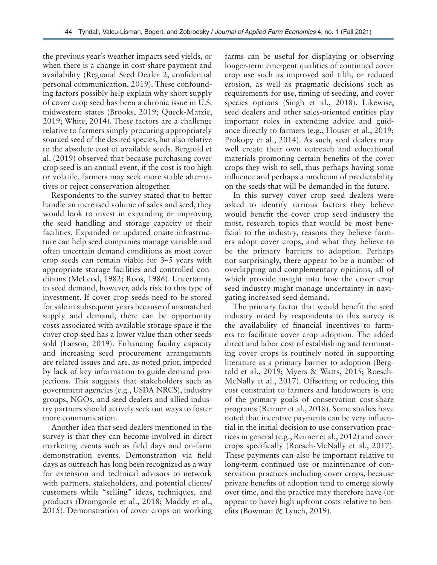the previous year's weather impacts seed yields, or when there is a change in cost-share payment and availability (Regional Seed Dealer 2, confidential personal communication, 2019). These confounding factors possibly help explain why short supply of cover crop seed has been a chronic issue in U.S. midwestern states (Brooks, 2019; Queck-Matzie, 2019; White, 2014). These factors are a challenge relative to farmers simply procuring appropriately sourced seed of the desired species, but also relative to the absolute cost of available seeds. Bergtold et al. (2019) observed that because purchasing cover crop seed is an annual event, if the cost is too high or volatile, farmers may seek more stable alternatives or reject conservation altogether.

Respondents to the survey stated that to better handle an increased volume of sales and seed, they would look to invest in expanding or improving the seed handling and storage capacity of their facilities. Expanded or updated onsite infrastructure can help seed companies manage variable and often uncertain demand conditions as most cover crop seeds can remain viable for 3–5 years with appropriate storage facilities and controlled conditions (McLeod, 1982; Roos, 1986). Uncertainty in seed demand, however, adds risk to this type of investment. If cover crop seeds need to be stored for sale in subsequent years because of mismatched supply and demand, there can be opportunity costs associated with available storage space if the cover crop seed has a lower value than other seeds sold (Larson, 2019). Enhancing facility capacity and increasing seed procurement arrangements are related issues and are, as noted prior, impeded by lack of key information to guide demand projections. This suggests that stakeholders such as government agencies (e.g., USDA NRCS), industry groups, NGOs, and seed dealers and allied industry partners should actively seek out ways to foster more communication.

Another idea that seed dealers mentioned in the survey is that they can become involved in direct marketing events such as field days and on-farm demonstration events. Demonstration via field days as outreach has long been recognized as a way for extension and technical advisors to network with partners, stakeholders, and potential clients/ customers while "selling" ideas, techniques, and products (Dromgoole et al., 2018; Maddy et al., 2015). Demonstration of cover crops on working

farms can be useful for displaying or observing longer-term emergent qualities of continued cover crop use such as improved soil tilth, or reduced erosion, as well as pragmatic decisions such as requirements for use, timing of seeding, and cover species options (Singh et al., 2018). Likewise, seed dealers and other sales-oriented entities play important roles in extending advice and guidance directly to farmers (e.g., Houser et al., 2019; Prokopy et al., 2014). As such, seed dealers may well create their own outreach and educational materials promoting certain benefits of the cover crops they wish to sell, thus perhaps having some influence and perhaps a modicum of predictability on the seeds that will be demanded in the future.

In this survey cover crop seed dealers were asked to identify various factors they believe would benefit the cover crop seed industry the most, research topics that would be most beneficial to the industry, reasons they believe farmers adopt cover crops, and what they believe to be the primary barriers to adoption. Perhaps not surprisingly, there appear to be a number of overlapping and complementary opinions, all of which provide insight into how the cover crop seed industry might manage uncertainty in navigating increased seed demand.

The primary factor that would benefit the seed industry noted by respondents to this survey is the availability of financial incentives to farmers to facilitate cover crop adoption. The added direct and labor cost of establishing and terminating cover crops is routinely noted in supporting literature as a primary barrier to adoption (Bergtold et al., 2019; Myers & Watts, 2015; Roesch-McNally et al., 2017). Offsetting or reducing this cost constraint to farmers and landowners is one of the primary goals of conservation cost-share programs (Reimer et al., 2018). Some studies have noted that incentive payments can be very influential in the initial decision to use conservation practices in general (e.g., Reimer et al., 2012) and cover crops specifically (Roesch-McNally et al., 2017). These payments can also be important relative to long-term continued use or maintenance of conservation practices including cover crops, because private benefits of adoption tend to emerge slowly over time, and the practice may therefore have (or appear to have) high upfront costs relative to benefits (Bowman & Lynch, 2019).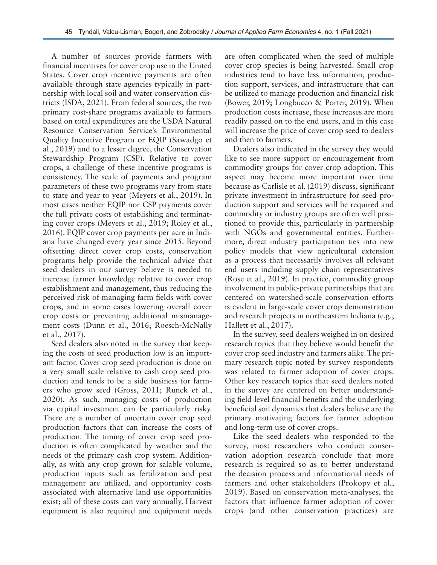A number of sources provide farmers with financial incentives for cover crop use in the United States. Cover crop incentive payments are often available through state agencies typically in partnership with local soil and water conservation districts (ISDA, 2021). From federal sources, the two primary cost-share programs available to farmers based on total expenditures are the USDA Natural Resource Conservation Service's Environmental Quality Incentive Program or EQIP (Sawadgo et al., 2019) and to a lesser degree, the Conservation Stewardship Program (CSP). Relative to cover crops, a challenge of these incentive programs is consistency. The scale of payments and program parameters of these two programs vary from state to state and year to year (Meyers et al., 2019). In most cases neither EQIP nor CSP payments cover the full private costs of establishing and terminating cover crops (Meyers et al., 2019; Roley et al., 2016). EQIP cover crop payments per acre in Indiana have changed every year since 2015. Beyond offsetting direct cover crop costs, conservation programs help provide the technical advice that seed dealers in our survey believe is needed to increase farmer knowledge relative to cover crop establishment and management, thus reducing the perceived risk of managing farm fields with cover crops, and in some cases lowering overall cover crop costs or preventing additional mismanagement costs (Dunn et al., 2016; Roesch-McNally et al., 2017).

Seed dealers also noted in the survey that keeping the costs of seed production low is an important factor. Cover crop seed production is done on a very small scale relative to cash crop seed production and tends to be a side business for farmers who grow seed (Gross, 2011; Runck et al., 2020). As such, managing costs of production via capital investment can be particularly risky. There are a number of uncertain cover crop seed production factors that can increase the costs of production. The timing of cover crop seed production is often complicated by weather and the needs of the primary cash crop system. Additionally, as with any crop grown for salable volume, production inputs such as fertilization and pest management are utilized, and opportunity costs associated with alternative land use opportunities exist; all of these costs can vary annually. Harvest equipment is also required and equipment needs

are often complicated when the seed of multiple cover crop species is being harvested. Small crop industries tend to have less information, production support, services, and infrastructure that can be utilized to manage production and financial risk (Bower, 2019; Longbucco & Porter, 2019). When production costs increase, these increases are more readily passed on to the end users, and in this case will increase the price of cover crop seed to dealers and then to farmers.

Dealers also indicated in the survey they would like to see more support or encouragement from commodity groups for cover crop adoption. This aspect may become more important over time because as Carlisle et al. (2019) discuss, significant private investment in infrastructure for seed production support and services will be required and commodity or industry groups are often well positioned to provide this, particularly in partnership with NGOs and governmental entities. Furthermore, direct industry participation ties into new policy models that view agricultural extension as a process that necessarily involves all relevant end users including supply chain representatives (Rose et al., 2019). In practice, commodity group involvement in public-private partnerships that are centered on watershed-scale conservation efforts is evident in large-scale cover crop demonstration and research projects in northeastern Indiana (e.g., Hallett et al., 2017).

In the survey, seed dealers weighed in on desired research topics that they believe would benefit the cover crop seed industry and farmers alike. The primary research topic noted by survey respondents was related to farmer adoption of cover crops. Other key research topics that seed dealers noted in the survey are centered on better understanding field-level financial benefits and the underlying beneficial soil dynamics that dealers believe are the primary motivating factors for farmer adoption and long-term use of cover crops.

Like the seed dealers who responded to the survey, most researchers who conduct conservation adoption research conclude that more research is required so as to better understand the decision process and informational needs of farmers and other stakeholders (Prokopy et al., 2019). Based on conservation meta-analyses, the factors that influence farmer adoption of cover crops (and other conservation practices) are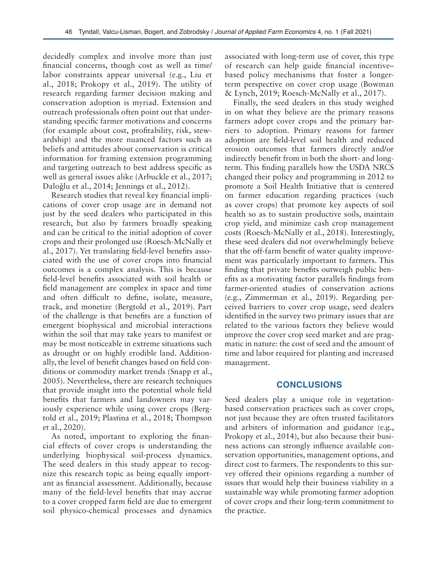decidedly complex and involve more than just financial concerns, though cost as well as time/ labor constraints appear universal (e.g., Liu et al., 2018; Prokopy et al., 2019). The utility of research regarding farmer decision making and conservation adoption is myriad. Extension and outreach professionals often point out that understanding specific farmer motivations and concerns (for example about cost, profitability, risk, stewardship) and the more nuanced factors such as beliefs and attitudes about conservation is critical information for framing extension programming and targeting outreach to best address specific as well as general issues alike (Arbuckle et al., 2017; Daloğlu et al., 2014; Jennings et al., 2012).

Research studies that reveal key financial implications of cover crop usage are in demand not just by the seed dealers who participated in this research, but also by farmers broadly speaking and can be critical to the initial adoption of cover crops and their prolonged use (Roesch-McNally et al., 2017). Yet translating field-level benefits associated with the use of cover crops into financial outcomes is a complex analysis. This is because field-level benefits associated with soil health or field management are complex in space and time and often difficult to define, isolate, measure, track, and monetize (Bergtold et al., 2019). Part of the challenge is that benefits are a function of emergent biophysical and microbial interactions within the soil that may take years to manifest or may be most noticeable in extreme situations such as drought or on highly erodible land. Additionally, the level of benefit changes based on field conditions or commodity market trends (Snapp et al., 2005). Nevertheless, there are research techniques that provide insight into the potential whole field benefits that farmers and landowners may variously experience while using cover crops (Bergtold et al., 2019; Plastina et al., 2018; Thompson et al., 2020).

As noted, important to exploring the financial effects of cover crops is understanding the underlying biophysical soil-process dynamics. The seed dealers in this study appear to recognize this research topic as being equally important as financial assessment. Additionally, because many of the field-level benefits that may accrue to a cover cropped farm field are due to emergent soil physico-chemical processes and dynamics

associated with long-term use of cover, this type of research can help guide financial incentive– based policy mechanisms that foster a longerterm perspective on cover crop usage (Bowman & Lynch, 2019; Roesch-McNally et al., 2017).

Finally, the seed dealers in this study weighed in on what they believe are the primary reasons farmers adopt cover crops and the primary barriers to adoption. Primary reasons for farmer adoption are field-level soil health and reduced erosion outcomes that farmers directly and/or indirectly benefit from in both the short- and longterm. This finding parallels how the USDA NRCS changed their policy and programming in 2012 to promote a Soil Health Initiative that is centered on farmer education regarding practices (such as cover crops) that promote key aspects of soil health so as to sustain productive soils, maintain crop yield, and minimize cash crop management costs (Roesch-McNally et al., 2018). Interestingly, these seed dealers did not overwhelmingly believe that the off-farm benefit of water quality improvement was particularly important to farmers. This finding that private benefits outweigh public benefits as a motivating factor parallels findings from farmer-oriented studies of conservation actions (e.g., Zimmerman et al., 2019). Regarding perceived barriers to cover crop usage, seed dealers identified in the survey two primary issues that are related to the various factors they believe would improve the cover crop seed market and are pragmatic in nature: the cost of seed and the amount of time and labor required for planting and increased management.

#### **CONCLUSIONS**

Seed dealers play a unique role in vegetationbased conservation practices such as cover crops, not just because they are often trusted facilitators and arbiters of information and guidance (e.g., Prokopy et al., 2014), but also because their business actions can strongly influence available conservation opportunities, management options, and direct cost to farmers. The respondents to this survey offered their opinions regarding a number of issues that would help their business viability in a sustainable way while promoting farmer adoption of cover crops and their long-term commitment to the practice.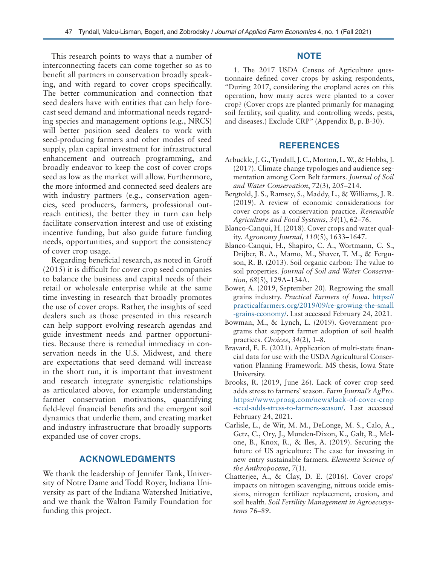This research points to ways that a number of interconnecting facets can come together so as to benefit all partners in conservation broadly speaking, and with regard to cover crops specifically. The better communication and connection that seed dealers have with entities that can help forecast seed demand and informational needs regarding species and management options (e.g., NRCS) will better position seed dealers to work with seed-producing farmers and other modes of seed supply, plan capital investment for infrastructural enhancement and outreach programming, and broadly endeavor to keep the cost of cover crops seed as low as the market will allow. Furthermore, the more informed and connected seed dealers are with industry partners (e.g., conservation agencies, seed producers, farmers, professional outreach entities), the better they in turn can help facilitate conservation interest and use of existing incentive funding, but also guide future funding needs, opportunities, and support the consistency of cover crop usage.

Regarding beneficial research, as noted in Groff (2015) it is difficult for cover crop seed companies to balance the business and capital needs of their retail or wholesale enterprise while at the same time investing in research that broadly promotes the use of cover crops. Rather, the insights of seed dealers such as those presented in this research can help support evolving research agendas and guide investment needs and partner opportunities. Because there is remedial immediacy in conservation needs in the U.S. Midwest, and there are expectations that seed demand will increase in the short run, it is important that investment and research integrate synergistic relationships as articulated above, for example understanding farmer conservation motivations, quantifying field-level financial benefits and the emergent soil dynamics that underlie them, and creating market and industry infrastructure that broadly supports expanded use of cover crops.

# **ACKNOWLEDGMENTS**

We thank the leadership of Jennifer Tank, University of Notre Dame and Todd Royer, Indiana University as part of the Indiana Watershed Initiative, and we thank the Walton Family Foundation for funding this project.

### **NOTE**

1. The 2017 USDA Census of Agriculture questionnaire defined cover crops by asking respondents, "During 2017, considering the cropland acres on this operation, how many acres were planted to a cover crop? (Cover crops are planted primarily for managing soil fertility, soil quality, and controlling weeds, pests, and diseases.) Exclude CRP" (Appendix B, p. B-30).

### **REFERENCES**

- Arbuckle, J. G., Tyndall, J. C., Morton, L. W., & Hobbs, J. (2017). Climate change typologies and audience segmentation among Corn Belt farmers. *Journal of Soil and Water Conservation*, *72*(3), 205–214.
- Bergtold, J. S., Ramsey, S., Maddy, L., & Williams, J. R. (2019). A review of economic considerations for cover crops as a conservation practice. *Renewable Agriculture and Food Systems*, *34*(1), 62–76.
- Blanco-Canqui, H. (2018). Cover crops and water quality. *Agronomy Journal*, *110*(5), 1633–1647.
- Blanco-Canqui, H., Shapiro, C. A., Wortmann, C. S., Drijber, R. A., Mamo, M., Shaver, T. M., & Ferguson, R. B. (2013). Soil organic carbon: The value to soil properties. *Journal of Soil and Water Conservation*, *68*(5), 129A–134A.
- Bower, A. (2019, September 20). Regrowing the small grains industry. *Practical Farmers of Iowa*. [https://](https://practicalfarmers.org/2019/09/re-growing-the-small-grains-economy/) [practicalfarmers.org/2019/09/re-growing-the-small](https://practicalfarmers.org/2019/09/re-growing-the-small-grains-economy/) [-grains-economy/](https://practicalfarmers.org/2019/09/re-growing-the-small-grains-economy/). Last accessed February 24, 2021.
- Bowman, M., & Lynch, L. (2019). Government programs that support farmer adoption of soil health practices. *Choices*, *34*(2), 1–8.
- Bravard, E. E. (2021). Application of multi-state financial data for use with the USDA Agricultural Conservation Planning Framework. MS thesis, Iowa State University.
- Brooks, R. (2019, June 26). Lack of cover crop seed adds stress to farmers' season. *Farm Journal's AgPro*. [https://www.proag.com/news/lack-of-cover-crop](https://www.proag.com/news/lack-of-cover-crop-seed-adds-stress-to-farmers-season/) [-seed-adds-stress-to-farmers-season/](https://www.proag.com/news/lack-of-cover-crop-seed-adds-stress-to-farmers-season/). Last accessed February 24, 2021.
- Carlisle, L., de Wit, M. M., DeLonge, M. S., Calo, A., Getz, C., Ory, J., Munden-Dixon, K., Galt, R., Melone, B., Knox, R., & Iles, A. (2019). Securing the future of US agriculture: The case for investing in new entry sustainable farmers. *Elementa Science of the Anthropocene*, *7*(1).
- Chatterjee, A., & Clay, D. E. (2016). Cover crops' impacts on nitrogen scavenging, nitrous oxide emissions, nitrogen fertilizer replacement, erosion, and soil health. *Soil Fertility Management in Agroecosystems* 76–89.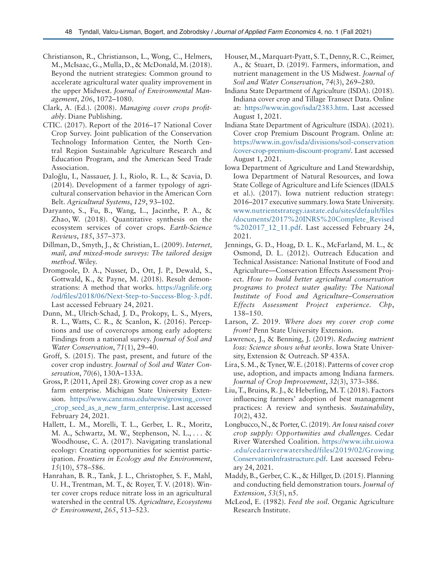- Christianson, R., Christianson, L., Wong, C., Helmers, M., McIsaac, G., Mulla, D., & McDonald, M. (2018). Beyond the nutrient strategies: Common ground to accelerate agricultural water quality improvement in the upper Midwest. *Journal of Environmental Management*, *206*, 1072–1080.
- Clark, A. (Ed.). (2008). *Managing cover crops profitably*. Diane Publishing.
- CTIC. (2017). Report of the 2016–17 National Cover Crop Survey. Joint publication of the Conservation Technology Information Center, the North Central Region Sustainable Agriculture Research and Education Program, and the American Seed Trade Association.
- Daloğlu, I., Nassauer, J. I., Riolo, R. L., & Scavia, D. (2014). Development of a farmer typology of agricultural conservation behavior in the American Corn Belt. *Agricultural Systems*, *129*, 93–102.
- Daryanto, S., Fu, B., Wang, L., Jacinthe, P. A., & Zhao, W. (2018). Quantitative synthesis on the ecosystem services of cover crops. *Earth-Science Reviews*, *185*, 357–373.
- Dillman, D., Smyth, J., & Christian, L. (2009). *Internet, mail, and mixed-mode surveys: The tailored design method*. Wiley.
- Dromgoole, D. A., Nusser, D., Ott, J. P., Dewald, S., Gottwald, K., & Payne, M. (2018). Result demonstrations: A method that works. [https://agrilife.org](https://agrilife.org/od/files/2018/06/Next-Step-to-Success-Blog-3.pdf) [/od/files/2018/06/Next-Step-to-Success-Blog-3.pdf.](https://agrilife.org/od/files/2018/06/Next-Step-to-Success-Blog-3.pdf) Last accessed February 24, 2021.
- Dunn, M., Ulrich-Schad, J. D., Prokopy, L. S., Myers, R. L., Watts, C. R., & Scanlon, K. (2016). Perceptions and use of covercrops among early adopters: Findings from a national survey. *Journal of Soil and Water Conservation*, *71*(1), 29–40.
- Groff, S. (2015). The past, present, and future of the cover crop industry. *Journal of Soil and Water Conservation*, *70*(6), 130A–133A.
- Gross, P. (2011, April 28). Growing cover crop as a new farm enterprise. Michigan State University Extension. [https://www.canr.msu.edu/news/growing\\_cover](https://www.canr.msu.edu/news/growing_cover_crop_seed_as_a_new_farm_enterprise) [\\_crop\\_seed\\_as\\_a\\_new\\_farm\\_enterprise.](https://www.canr.msu.edu/news/growing_cover_crop_seed_as_a_new_farm_enterprise) Last accessed February 24, 2021.
- Hallett, L. M., Morelli, T. L., Gerber, L. R., Moritz, M. A., Schwartz, M. W., Stephenson, N. L., . . . & Woodhouse, C. A. (2017). Navigating translational ecology: Creating opportunities for scientist participation. *Frontiers in Ecology and the Environment*, *15*(10), 578–586.
- Hanrahan, B. R., Tank, J. L., Christopher, S. F., Mahl, U. H., Trentman, M. T., & Royer, T. V. (2018). Winter cover crops reduce nitrate loss in an agricultural watershed in the central US. *Agriculture, Ecosystems & Environment*, *265*, 513–523.
- Houser, M., Marquart-Pyatt, S. T., Denny, R. C., Reimer, A., & Stuart, D. (2019). Farmers, information, and nutrient management in the US Midwest. *Journal of Soil and Water Conservation*, *74*(3), 269–280.
- Indiana State Department of Agriculture (ISDA). (2018). Indiana cover crop and Tillage Transect Data. Online at: <https://www.in.gov/isda/2383.htm>. Last accessed August 1, 2021.
- Indiana State Department of Agriculture (ISDA). (2021). Cover crop Premium Discount Program. Online at: [https://www.in.gov/isda/divisions/soil-conservation](https://www.in.gov/isda/divisions/soil-conservation/cover-crop-premium-discount-program/) [/cover-crop-premium-discount-program/.](https://www.in.gov/isda/divisions/soil-conservation/cover-crop-premium-discount-program/) Last accessed August 1, 2021.
- Iowa Department of Agriculture and Land Stewardship, Iowa Department of Natural Resources, and Iowa State College of Agriculture and Life Sciences (IDALS et al.). (2017). Iowa nutrient reduction strategy: 2016–2017 executive summary. Iowa State University. [www.nutrientstrategy.iastate.edu/sites/default/files](http://www.nutrientstrategy.iastate.edu/sites/default/files/documents/2017%20INRS%20Complete_Revised%202017_12_11.pdf) [/documents/2017%20INRS%20Complete\\_Revised](http://www.nutrientstrategy.iastate.edu/sites/default/files/documents/2017%20INRS%20Complete_Revised%202017_12_11.pdf) [%202017\\_12\\_11.pdf.](http://www.nutrientstrategy.iastate.edu/sites/default/files/documents/2017%20INRS%20Complete_Revised%202017_12_11.pdf) Last accessed February 24, 2021.
- Jennings, G. D., Hoag, D. L. K., McFarland, M. L., & Osmond, D. L. (2012). Outreach Education and Technical Assistance: National Institute of Food and Agriculture—Conservation Effects Assessment Project. *How to build better agricultural conservation programs to protect water quality: The National Institute of Food and Agriculture–Conservation Effects Assessment Project experience. Chp*, 138–150.
- Larson, Z. 2019. *Where does my cover crop come from?* Penn State University Extension.
- Lawrence, J., & Benning, J. (2019). *Reducing nutrient loss: Science shows what works*. Iowa State University, Extension & Outreach. SP 435A.
- Lira, S. M., & Tyner, W. E. (2018). Patterns of cover crop use, adoption, and impacts among Indiana farmers. *Journal of Crop Improvement*, *32*(3), 373–386.
- Liu, T., Bruins, R. J., & Heberling, M. T. (2018). Factors influencing farmers' adoption of best management practices: A review and synthesis. *Sustainability*, *10*(2), 432.
- Longbucco, N., & Porter, C. (2019). *An Iowa raised cover crop supply: Opportunities and challenges.* Cedar River Watershed Coalition. [https://www.iihr.uiowa](https://www.iihr.uiowa.edu/cedarriverwatershed/files/2019/02/GrowingConservationInfrastructure.pdf) [.edu/cedarriverwatershed/files/2019/02/Growing](https://www.iihr.uiowa.edu/cedarriverwatershed/files/2019/02/GrowingConservationInfrastructure.pdf) [ConservationInfrastructure.pdf.](https://www.iihr.uiowa.edu/cedarriverwatershed/files/2019/02/GrowingConservationInfrastructure.pdf) Last accessed February 24, 2021.
- Maddy, B., Gerber, C. K., & Hillger, D. (2015). Planning and conducting field demonstration tours. *Journal of Extension*, *53*(5), n5.
- McLeod, E. (1982). *Feed the soil*. Organic Agriculture Research Institute.